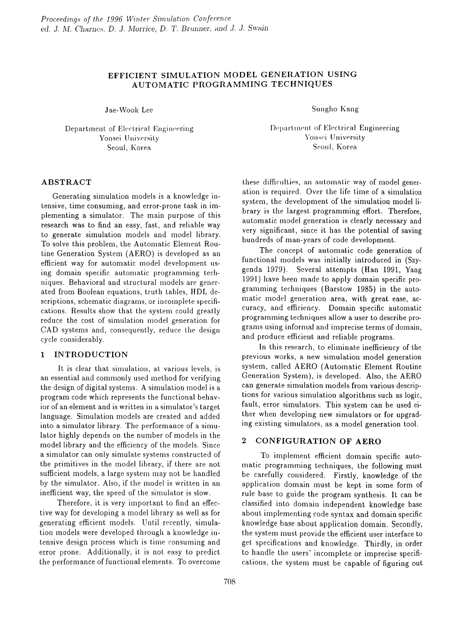# EFFICIENT SIMULATION MODEL GENERATION USING AUTOMATIC PROGRAMMING TECHNIQUES

Jae-Wook Lee

Department of Electrical Engineering Yonsei University Seoul, Korea

## **ABSTRACT**

Generating simulation models is a knowledge intensive, time consuming, and error-prone task in implementing a simulator. The main purpose of this research was to find an easy, fast, and reliable way to generate simulation models and model library. To solve this problem, the Automatic Element Routine Generation System (AERO) is developed as an efficient way for automatic model development using domain specific automatic programming techniques. Behavioral and structural models are generated from Boolean equations, truth tables, HDL descriptions, schematic diagrams, or incomplete specifications. Results show that the system could greatly reduce the cost of simulation model generation for CAD systems and, consequently, reduce the design cycle considerably.

### **INTRODUCTION**  $\mathbf{1}$

It is clear that simulation, at various levels, is an essential and commonly used method for verifying the design of digital systems. A simulation model is a program code which represents the functional behavior of an element and is written in a simulator's target language. Simulation models are created and added into a simulator library. The performance of a simulator highly depends on the number of models in the model library and the efficiency of the models. Since a simulator can only simulate systems constructed of the primitives in the model library, if there are not sufficient models, a large system may not be handled by the simulator. Also, if the model is written in an inefficient way, the speed of the simulator is slow.

Therefore, it is very important to find an effective way for developing a model library as well as for generating efficient models. Until recently, simulation models were developed through a knowledge intensive design process which is time consuming and error prone. Additionally, it is not easy to predict the performance of functional elements. To overcome Sungho Kang

Department of Electrical Engineering Yonsei University Seoul, Korea

these difficulties, an automatic way of model generation is required. Over the life time of a simulation system, the development of the simulation model library is the largest programming effort. Therefore, automatic model generation is clearly necessary and very significant, since it has the potential of saving hundreds of man-years of code development.

The concept of automatic code generation of functional models was initially introduced in (Szygenda 1979). Several attempts (Han 1991, Yang 1991) have been made to apply domain specific programming techniques (Barstow 1985) in the automatic model generation area, with great ease, accuracy, and efficiency. Domain specific automatic programming techniques allow a user to describe programs using informal and imprecise terms of domain, and produce efficient and reliable programs.

In this research, to eliminate inefficiency of the previous works, a new simulation model generation system, called AERO (Automatic Element Routine Generation System), is developed. Also, the AERO can generate simulation models from various descriptions for various simulation algorithms such as logic, fault, error simulators. This system can be used either when developing new simulators or for upgrading existing simulators, as a model generation tool.

### **CONFIGURATION OF AERO**  $\bf{2}$

To implement efficient domain specific automatic programming techniques, the following must be carefully considered. Firstly, knowledge of the application domain must be kept in some form of rule base to guide the program synthesis. It can be classified into domain independent knowledge base about implementing code syntax and domain specific knowledge base about application domain. Secondly, the system must provide the efficient user interface to get specifications and knowledge. Thirdly, in order to handle the users' incomplete or imprecise specifications, the system must be capable of figuring out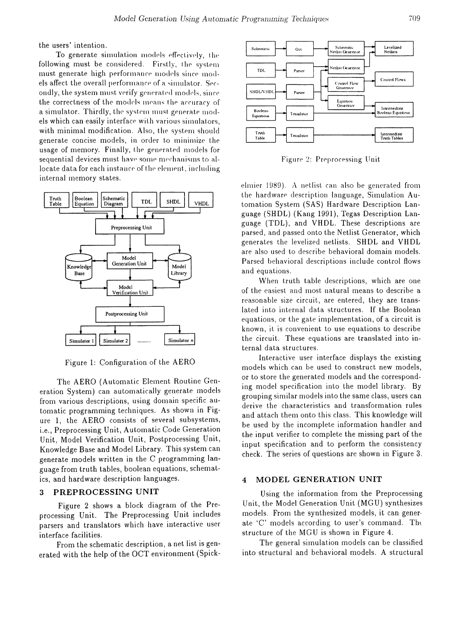the users' intention.

To generate simulation models effectively, the following must be considered. Firstly, the system must generate high performance models since models affect the overall performance of a simulator. Secondly, the system must verify generated models, since the correctness of the models means the accuracy of a simulator. Thirdly, the system must generate models which can easily interface with various simulators, with minimal modification. Also, the system should generate concise models, in order to minimize the usage of memory. Finally, the generated models for sequential devices must have some mechanisms to allocate data for each instance of the element, including internal memory states.



Figure 1: Configuration of the AERO

The AERO (Automatic Element Routine Generation System) can automatically generate models from various descriptions, using domain specific automatic programming techniques. As shown in Figure 1, the AERO consists of several subsystems, i.e., Preprocessing Unit, Automatic Code Generation Unit, Model Verification Unit, Postprocessing Unit, Knowledge Base and Model Library. This system can generate models written in the C programming language from truth tables, boolean equations, schematics, and hardware description languages.

### PREPROCESSING UNIT 3

Figure 2 shows a block diagram of the Preprocessing Unit. The Preprocessing Unit includes parsers and translators which have interactive user interface facilities.

From the schematic description, a net list is generated with the help of the OCT environment (Spick-



Figure 2: Preprocessing Unit

elmier 1989). A netlist can also be generated from the hardware description language, Simulation Automation System (SAS) Hardware Description Language (SHDL) (Kang 1991), Tegas Description Language (TDL), and VHDL. These descriptions are parsed, and passed onto the Netlist Generator, which generates the levelized netlists. SHDL and VHDL are also used to describe behavioral domain models. Parsed behavioral descriptions include control flows and equations.

When truth table descriptions, which are one of the easiest and most natural means to describe a reasonable size circuit, are entered, they are translated into internal data structures. If the Boolean equations, or the gate implementation, of a circuit is known, it is convenient to use equations to describe the circuit. These equations are translated into internal data structures.

Interactive user interface displays the existing models which can be used to construct new models, or to store the generated models and the corresponding model specification into the model library. By grouping similar models into the same class, users can derive the characteristics and transformation rules and attach them onto this class. This knowledge will be used by the incomplete information handler and the input verifier to complete the missing part of the input specification and to perform the consistency check. The series of questions are shown in Figure 3.

### MODEL GENERATION UNIT  $\boldsymbol{4}$

Using the information from the Preprocessing Unit, the Model Generation Unit (MGU) synthesizes models. From the synthesized models, it can generate 'C' models according to user's command. The structure of the MGU is shown in Figure 4.

The general simulation models can be classified into structural and behavioral models. A structural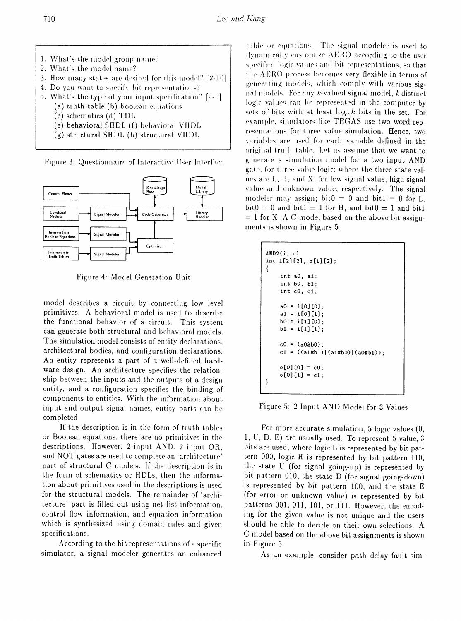- 1. What's the model group name?
- 2. What's the model name?
- 3. How many states are desired for this model? [2-10]
- 4. Do you want to specify bit representations?
- 5. What's the type of your input specification? [a-h]
	- (a) truth table (b) boolean equations
	- $(c)$  schematics  $(d)$  TDL
	- (e) behavioral SHDL (f) behavioral VHDL
	- (g) structural SHDL (h) structural VHDL

Figure 3: Questionnaire of Interactive User Interface



Figure 4: Model Generation Unit

model describes a circuit by connecting low level primitives. A behavioral model is used to describe the functional behavior of a circuit. This system can generate both structural and behavioral models. The simulation model consists of entity declarations. architectural bodies, and configuration declarations. An entity represents a part of a well-defined hardware design. An architecture specifies the relationship between the inputs and the outputs of a design entity, and a configuration specifies the binding of components to entities. With the information about input and output signal names, entity parts can be completed.

If the description is in the form of truth tables or Boolean equations, there are no primitives in the descriptions. However, 2 input AND, 2 input OR, and NOT gates are used to complete an 'architecture' part of structural C models. If the description is in the form of schematics or HDLs, then the information about primitives used in the descriptions is used for the structural models. The remainder of 'architecture' part is filled out using net list information. control flow information, and equation information which is synthesized using domain rules and given specifications.

According to the bit representations of a specific simulator, a signal modeler generates an enhanced

table or equations. The signal modeler is used to dynamically customize AERO according to the user specified logic values and bit representations, so that the AERO process becomes very flexible in terms of generating models, which comply with various signal models. For any k-valued signal model, k distinct logic values can be represented in the computer by sets of bits with at least  $\log_2 k$  bits in the set. For example, simulators like TEGAS use two word representations for three value simulation. Hence, two variables are used for each variable defined in the original truth table. Let us assume that we want to generate a simulation model for a two input AND gate, for three value logic; where the three state values are L, H, and X, for low signal value, high signal value and unknown value, respectively. The signal modeler may assign; bit $0 = 0$  and bit $1 = 0$  for L.  $bit0 = 0$  and  $bit1 = 1$  for H, and  $bit0 = 1$  and  $bit1$  $= 1$  for X. A C model based on the above bit assignments is shown in Figure 5.

| AUD2(i, o)<br>int i[2][2], $o[1][2]$ ;<br>ł                           |
|-----------------------------------------------------------------------|
| int $a0, a1;$                                                         |
| $int b0, b1$ :                                                        |
| $int c0, c1$ ;                                                        |
| $a0 = i[0][0]:$<br>a1 = i[O][1]:<br>$b0 = i[1][0]$<br>$b1 = i[1][1]:$ |
| $c0 = (a0kb0)$ ;                                                      |
| c1 = $((a1kb1) (a1kb0) (a0kb1));$                                     |
| $o[0][0] = c0;$<br>$o[0][1] = c1$ ;                                   |

Figure 5: 2 Input AND Model for 3 Values

For more accurate simulation, 5 logic values (0, 1, U, D, E) are usually used. To represent 5 value, 3 bits are used, where logic L is represented by bit pattern 000, logic H is represented by bit pattern 110, the state U (for signal going-up) is represented by bit pattern 010, the state D (for signal going-down) is represented by bit pattern 100, and the state E (for error or unknown value) is represented by bit patterns 001, 011, 101, or 111. However, the encoding for the given value is not unique and the users should be able to decide on their own selections. A C model based on the above bit assignments is shown in Figure 6.

As an example, consider path delay fault sim-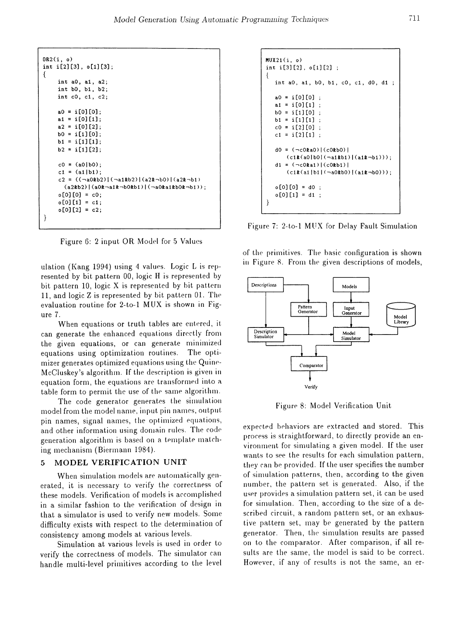```
OR2(i, 0)
int i [2] [3], 0 [1] [3] ;
{
    int aO, a1, a2;
    int bO, b1, b2;
    int cO, c1, c2;
    a0 = i[0][0];a1 = i[0][1];a2 = i[0][2];b0 = i[1][0];b1 = i[1][1];b2 = i[1][2];c0 = (a0|b0);c1 = (a1|b1);c2 = ((\neg a0kb2)|(\neg a1kb2)|(a2k-b0)|(a2k-b1)(a2kb2)|(a0b-ailb-b0kb1)|(-a0bailb0b-b1);
    0[0][0] = 0;o[0][1] = c1;o[0][2] = c2;\}
```
Figure 6: 2 input OR Model for 5 Values

ulation (Kang 1994) using 4 values. Logic L is represented by bit pattern 00, logic H is represented by bit pattern 10, logic  $X$  is represented by bit pattern 11, and logic  $Z$  is represented by bit pattern 01. The evaluation routine for 2-to-1 MUX is shown in Figure 7.

When equations or truth tables are entered, it can generate the enhanced equations directly from the given equations, or can generate minimized equations using optimization routines. The optimizer generates optimized equations using the Quine-McCluskey's algorithm. If the description is given in equation form, the equations are transformed into a table form to permit the use of the same algorithm.

The code generator generates the simulation model from the model name, input pin names, output. pin names, signal names, the optimized equations, and other information using domain rules. The code generation algorithm is based on a template matching mechanism (Biermann 1984).

## 5 MODEL VERIFICATION UNIT

When simulation models are automatically generated, it is necessary to verify the correctness of these models. Verification of models is accomplished in a similar fashion to the verification of design in that a simulator is used to verify new models. Some difficulty exists with respect to the determination of consistency among models at various levels.

Simulation at various levels is used in order to verify the correctness of models. The simulator can handle multi-level primitives according to the level

```
MUX21(i, o)int i[3][2], 0[1][2] ;
{
   int a0, a1, b0, b1, c0, c1, d0, d1;
  a0 = i[0][0];
  a1 = i[0][1];b0 = i[1][0];
  b1 = i[1][1] ;
  c0 = i[2][0];
  c1 = i[2][1];d0 = (-c0k a0)(c0k b0)(c1\&(a0|b0|(\neg a1\&b1)|(a1\&\neg b1)));
   d1 = (\neg c0k a1) | (c0kb1) |(c12(a1|b1|(\neg a02b0)|(a12\neg b0)));
  0[0][0] = 00;
   o[0][1] = d1;J
```
Figure 7: 2-to-1 MUX for Delay Fault Simulation

of the primitives. The basic configuration is shown in Figure 8. From the given descriptions of models,



Figure 8: Model Verification Unit

expected behaviors are extracted and stored. This process is straightforward, to directly provide an environment for simulating a given model. If the user wants to see the results for each simulation pattern, they can be provided. If the user specifies the number of simulation patterns, then, according to the given number, the pattern set is generated. Also, if the user provides a simulation pattern set, it can be used for simulation. Then, according to the size of a described circuit, a random pattern set, or an exhaustive pattern set, may be generated by the pattern generator. Then, the simulation results are passed on to the comparator. After comparison, if all results are the same, the model is said to be correct. However, if any of results is not the same, an er-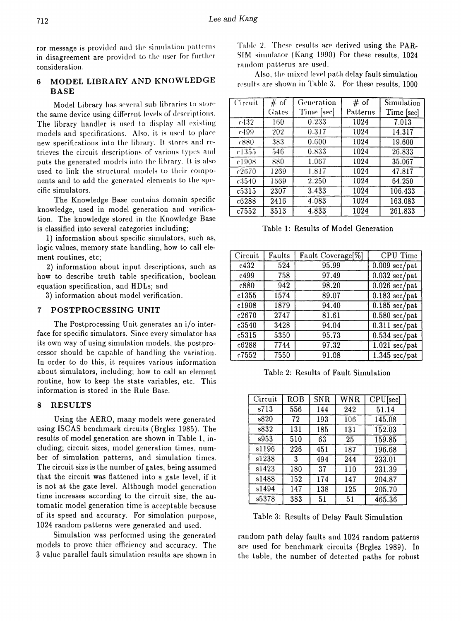ror message is provided and the simulation patterns in disagreement are provided to the user for further consideration.

## MODEL LIBRARY AND KNOWLEDGE 6 **BASE**

Model Library has several sub-libraries to store the same device using different levels of descriptions. The library handler is used to display all existing models and specifications. Also, it is used to place new specifications into the library. It stores and retrieves the circuit descriptions of various types and puts the generated models into the library. It is also used to link the structural models to their components and to add the generated elements to the specific simulators.

The Knowledge Base contains domain specific knowledge, used in model generation and verification. The knowledge stored in the Knowledge Base is classified into several categories including;

1) information about specific simulators, such as, logic values, memory state handling, how to call element routines, etc;

2) information about input descriptions, such as how to describe truth table specification, boolean equation specification, and HDLs; and

3) information about model verification.

## 7 POSTPROCESSING UNIT

The Postprocessing Unit generates an i/o interface for specific simulators. Since every simulator has its own way of using simulation models, the postprocessor should be capable of handling the variation. In order to do this, it requires various information about simulators, including; how to call an element routine, how to keep the state variables, etc. This information is stored in the Rule Base.

### **RESULTS** 8

Using the AERO, many models were generated using ISCAS benchmark circuits (Brglez 1985). The results of model generation are shown in Table 1, including; circuit sizes, model generation times, number of simulation patterns, and simulation times. The circuit size is the number of gates, being assumed that the circuit was flattened into a gate level, if it is not at the gate level. Although model generation time increases according to the circuit size, the automatic model generation time is acceptable because of its speed and accuracy. For simulation purpose, 1024 random patterns were generated and used.

Simulation was performed using the generated models to prove thier efficiency and accuracy. The 3 value parallel fault simulation results are shown in

Table 2. These results are derived using the PAR-SIM simulator (Kang 1990) For these results, 1024 random patterns are used.

Also, the mixed level path delay fault simulation results are shown in Table 3. For these results, 1000

| Circuit | # of  | Generation | # of     | Simulation |
|---------|-------|------------|----------|------------|
|         | Gates | Time [sec] | Patterns | Time [sec] |
| c432    | 160   | 0.233      | 1024     | 7.013      |
| c499    | 202   | 0.317      | 1024     | 14.317     |
| c880    | 383   | 0.600      | 1024     | 19.600     |
| c1355   | 546   | 0.833      | 1024     | 26.833     |
| c1908   | 880   | 1.067      | 1024     | 35.067     |
| c2670   | 1269  | 1.817      | 1024     | 47.817     |
| c3540   | 1669  | 2.250      | 1024     | 64.250     |
| c5315   | 2307  | 3.433      | 1024     | 106.433    |
| c6288   | 2416  | 4.083      | 1024     | 163.083    |
| c7552   | 3513  | 4.833      | 1024     | 261.833    |

Table 1: Results of Model Generation

| Circuit | Faults | Fault Coverage <sup>[%]</sup> | CPU Time                           |
|---------|--------|-------------------------------|------------------------------------|
| c432    | 524    | 95.99                         | $0.009$ sec/pat                    |
| c499    | 758    | 97.49                         | $0.032$ sec/pat                    |
| c880    | 942    | 98.20                         | $\overline{0.026 \text{ sec}}$ pat |
| c1355   | 1574   | 89.07                         | $0.183$ sec/pat                    |
| c1908   | 1879   | 94.40                         | $0.185 \text{ sec}/\text{pat}$     |
| c2670   | 2747   | 81.61                         | $0.580$ sec/pat                    |
| c3540   | 3428   | 94.04                         | $0.311$ sec/pat                    |
| c5315   | 5350   | 95.73                         | $0.534$ sec/pat                    |
| c6288   | 7744   | 97.32                         | $1.021$ sec/pat                    |
| c7552   | 7550   | 91.08                         | $1.345$ sec/pat                    |

Table 2: Results of Fault Simulation

| Circuit | <b>ROB</b> | <b>SNR</b> | WNR | CPU[sec] |
|---------|------------|------------|-----|----------|
| s713    | 556        | 144        | 242 | 51.14    |
| s820    | 72         | 193        | 106 | 145.08   |
| s832    | 131        | 185        | 131 | 152.03   |
| s953    | 510        | 63         | 25  | 159.85   |
| s1196   | 226        | 451        | 187 | 196.68   |
| s1238   | 3          | 494        | 244 | 233.01   |
| s1423   | 180        | 37         | 110 | 231.39   |
| s1488   | 152        | 174        | 147 | 204.87   |
| s1494   | 147        | 138        | 125 | 205.70   |
| s5378   | 383        | 51         | 51  | 465.36   |

Table 3: Results of Delay Fault Simulation

random path delay faults and 1024 random patterns are used for benchmark circuits (Brglez 1989). In the table, the number of detected paths for robust